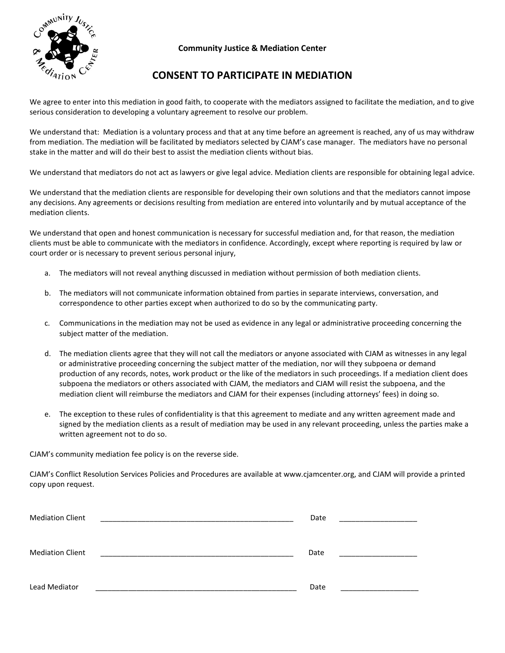

## **Community Justice & Mediation Center**

## **CONSENT TO PARTICIPATE IN MEDIATION**

We agree to enter into this mediation in good faith, to cooperate with the mediators assigned to facilitate the mediation, and to give serious consideration to developing a voluntary agreement to resolve our problem.

We understand that: Mediation is a voluntary process and that at any time before an agreement is reached, any of us may withdraw from mediation. The mediation will be facilitated by mediators selected by CJAM's case manager. The mediators have no personal stake in the matter and will do their best to assist the mediation clients without bias.

We understand that mediators do not act as lawyers or give legal advice. Mediation clients are responsible for obtaining legal advice.

We understand that the mediation clients are responsible for developing their own solutions and that the mediators cannot impose any decisions. Any agreements or decisions resulting from mediation are entered into voluntarily and by mutual acceptance of the mediation clients.

We understand that open and honest communication is necessary for successful mediation and, for that reason, the mediation clients must be able to communicate with the mediators in confidence. Accordingly, except where reporting is required by law or court order or is necessary to prevent serious personal injury,

- a. The mediators will not reveal anything discussed in mediation without permission of both mediation clients.
- b. The mediators will not communicate information obtained from parties in separate interviews, conversation, and correspondence to other parties except when authorized to do so by the communicating party.
- c. Communications in the mediation may not be used as evidence in any legal or administrative proceeding concerning the subject matter of the mediation.
- d. The mediation clients agree that they will not call the mediators or anyone associated with CJAM as witnesses in any legal or administrative proceeding concerning the subject matter of the mediation, nor will they subpoena or demand production of any records, notes, work product or the like of the mediators in such proceedings. If a mediation client does subpoena the mediators or others associated with CJAM, the mediators and CJAM will resist the subpoena, and the mediation client will reimburse the mediators and CJAM for their expenses (including attorneys' fees) in doing so.
- e. The exception to these rules of confidentiality is that this agreement to mediate and any written agreement made and signed by the mediation clients as a result of mediation may be used in any relevant proceeding, unless the parties make a written agreement not to do so.

CJAM's community mediation fee policy is on the reverse side.

CJAM's Conflict Resolution Services Policies and Procedures are available at www.cjamcenter.org, and CJAM will provide a printed copy upon request.

| <b>Mediation Client</b> | Date |  |
|-------------------------|------|--|
| <b>Mediation Client</b> | Date |  |
| Lead Mediator           | Date |  |